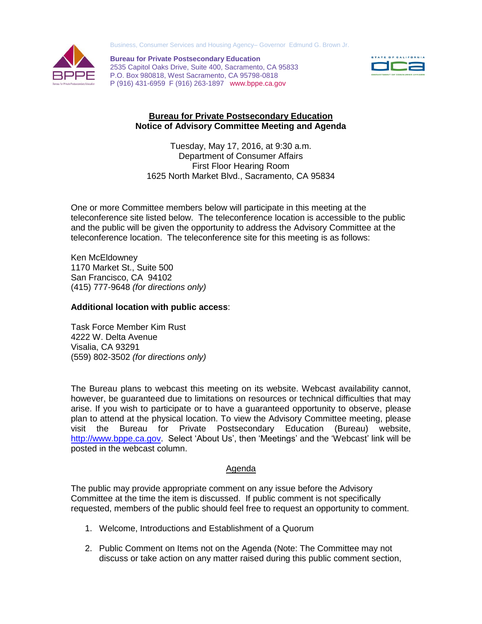Business, Consumer Services and Housing Agency– Governor Edmund G. Brown Jr.



 P (916) 431-6959 F (916) 263-1897 www.bppe.ca.gov **Bureau for Private Postsecondary Education**  2535 Capitol Oaks Drive, Suite 400, Sacramento, CA 95833 P.O. Box 980818, West Sacramento, CA 95798-0818



## **Bureau for Private Postsecondary Education Example 1 Bureau for Private Postsecondary Education**<br>Notice of Advisory Committee Meeting and Agenda

Tuesday, May 17, 2016, at 9:30 a.m. Department of Consumer Affairs **First Floor Hearing Room** 1625 North Market Blvd., Sacramento, CA 95834 Tuesday, May 17, 2016, at 9:30 a.m.<br>Department of Consumer Affairs<br>First Floor Hearing Room<br>1625 North Market Blvd., Sacramento, CA 95834<br>One or more Committee members below will participate in this meeting at the

 teleconference site listed below. The teleconference location is accessible to the public and the public will be given the opportunity to address the Advisory Committee at the teleconference location. The teleconference site for this meeting is as follows:

 1170 Market St., Suite 500 San Francisco, CA 94102 (415) 777-9648 *(for directions only)*  Ken McEldowney

## **Additional location with public access**:

 Task Force Member Kim Rust 4222 W. Delta Avenue  (559) 802-3502 *(for directions only)*  Visalia, CA 93291

 The Bureau plans to webcast this meeting on its website. Webcast availability cannot, however, be guaranteed due to limitations on resources or technical difficulties that may arise. If you wish to participate or to have a guaranteed opportunity to observe, please plan to attend at the physical location. To view the Advisory Committee meeting, please visit the Bureau for Private Postsecondary Education (Bureau) website, [http://www.bppe.ca.gov.](http://www.bppe.ca.gov/) Select 'About Us', then 'Meetings' and the 'Webcast' link will be posted in the webcast column.

## Agenda

 The public may provide appropriate comment on any issue before the Advisory Committee at the time the item is discussed. If public comment is not specifically requested, members of the public should feel free to request an opportunity to comment.

- 1.Welcome, Introductions and Establishment of a Quorum
- 2. Public Comment on Items not on the Agenda (Note: The Committee may not discuss or take action on any matter raised during this public comment section,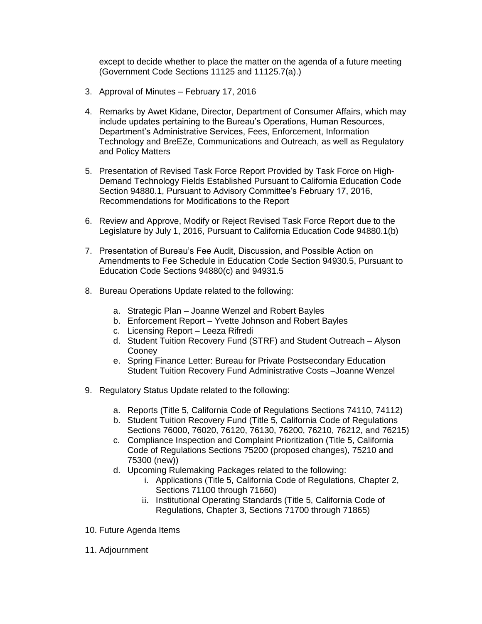except to decide whether to place the matter on the agenda of a future meeting (Government Code Sections 11125 and 11125.7(a).)

- 3. Approval of Minutes February 17, 2016
- 4. Remarks by Awet Kidane, Director, Department of Consumer Affairs, which may include updates pertaining to the Bureau's Operations, Human Resources, Department's Administrative Services, Fees, Enforcement, Information Technology and BreEZe, Communications and Outreach, as well as Regulatory and Policy Matters
- 5. Presentation of Revised Task Force Report Provided by Task Force on High- Section 94880.1, Pursuant to Advisory Committee's February 17, 2016, Recommendations for Modifications to the Report Demand Technology Fields Established Pursuant to California Education Code
- 6. Review and Approve, Modify or Reject Revised Task Force Report due to the Legislature by July 1, 2016, Pursuant to California Education Code 94880.1(b)
- 7. Presentation of Bureau's Fee Audit, Discussion, and Possible Action on Amendments to Fee Schedule in Education Code Section 94930.5, Pursuant to Education Code Sections 94880(c) and 94931.5
- 8. Bureau Operations Update related to the following:
	- a. Strategic Plan Joanne Wenzel and Robert Bayles
	- b.Enforcement Report Yvette Johnson and Robert Bayles
	- c. Licensing Report Leeza Rifredi
	- d. Student Tuition Recovery Fund (STRF) and Student Outreach Alyson Cooney
	- e. Spring Finance Letter: Bureau for Private Postsecondary Education Student Tuition Recovery Fund Administrative Costs –Joanne Wenzel
- 9. Regulatory Status Update related to the following:
	- a. Reports (Title 5, California Code of Regulations Sections 74110, 74112)
	- b. Student Tuition Recovery Fund (Title 5, California Code of Regulations Sections 76000, 76020, 76120, 76130, 76200, 76210, 76212, and 76215)
	- c. Compliance Inspection and Complaint Prioritization (Title 5, California Code of Regulations Sections 75200 (proposed changes), 75210 and 75300 (new))
	- d. Upcoming Rulemaking Packages related to the following:
		- i. Applications (Title 5, California Code of Regulations, Chapter 2, Sections 71100 through 71660)
		- ii. Institutional Operating Standards (Title 5, California Code of Regulations, Chapter 3, Sections 71700 through 71865)
- 10. Future Agenda Items
- 11. Adjournment